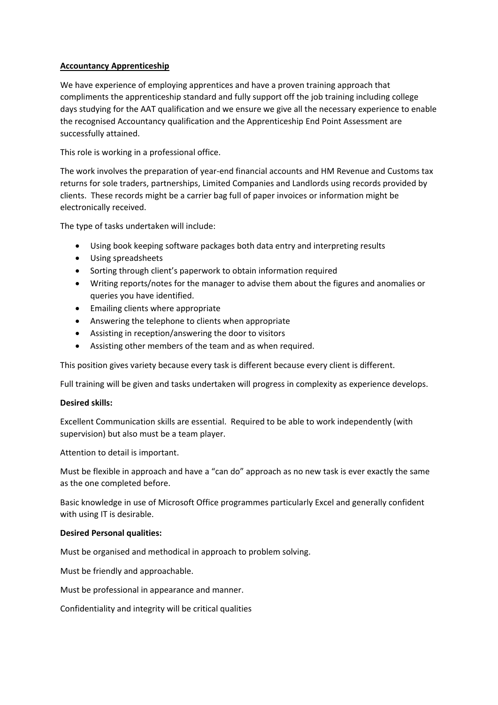### **Accountancy Apprenticeship**

We have experience of employing apprentices and have a proven training approach that compliments the apprenticeship standard and fully support off the job training including college days studying for the AAT qualification and we ensure we give all the necessary experience to enable the recognised Accountancy qualification and the Apprenticeship End Point Assessment are successfully attained.

This role is working in a professional office.

The work involves the preparation of year-end financial accounts and HM Revenue and Customs tax returns for sole traders, partnerships, Limited Companies and Landlords using records provided by clients. These records might be a carrier bag full of paper invoices or information might be electronically received.

The type of tasks undertaken will include:

- Using book keeping software packages both data entry and interpreting results
- Using spreadsheets
- Sorting through client's paperwork to obtain information required
- Writing reports/notes for the manager to advise them about the figures and anomalies or queries you have identified.
- Emailing clients where appropriate
- Answering the telephone to clients when appropriate
- Assisting in reception/answering the door to visitors
- Assisting other members of the team and as when required.

This position gives variety because every task is different because every client is different.

Full training will be given and tasks undertaken will progress in complexity as experience develops.

#### **Desired skills:**

Excellent Communication skills are essential. Required to be able to work independently (with supervision) but also must be a team player.

Attention to detail is important.

Must be flexible in approach and have a "can do" approach as no new task is ever exactly the same as the one completed before.

Basic knowledge in use of Microsoft Office programmes particularly Excel and generally confident with using IT is desirable.

#### **Desired Personal qualities:**

Must be organised and methodical in approach to problem solving.

Must be friendly and approachable.

Must be professional in appearance and manner.

Confidentiality and integrity will be critical qualities